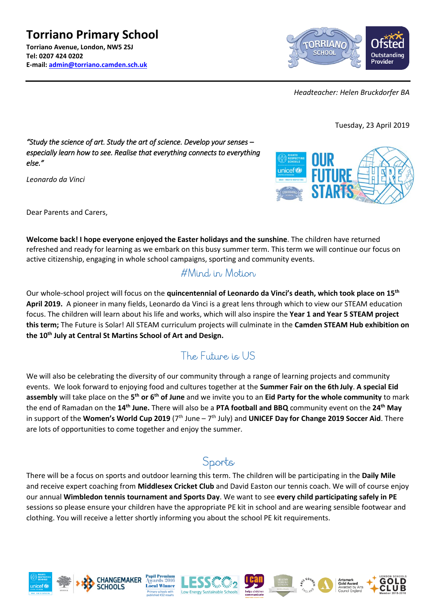**Torriano Primary School Torriano Avenue, London, NW5 2SJ Tel: 0207 424 0202 E-mail: [admin@torriano.camden.sch.uk](mailto:admin@torriano.camden.sch.uk)**



*Headteacher: Helen Bruckdorfer BA*

Tuesday, 23 April 2019

#### *"Study the science of art. Study the art of science. Develop your senses – especially learn how to see. Realise that everything connects to everything else."*

*Leonardo da Vinci*



Dear Parents and Carers,

**Welcome back! I hope everyone enjoyed the Easter holidays and the sunshine**. The children have returned refreshed and ready for learning as we embark on this busy summer term. This term we will continue our focus on active citizenship, engaging in whole school campaigns, sporting and community events.

## #Mind in Motion

Our whole-school project will focus on the **quincentennial of Leonardo da Vinci's death, which took place on 15th April 2019.** A pioneer in many fields, Leonardo da Vinci is a great lens through which to view our STEAM education focus. The children will learn about his life and works, which will also inspire the **Year 1 and Year 5 STEAM project this term;** The Future is Solar! All STEAM curriculum projects will culminate in the **Camden STEAM Hub exhibition on the 10th July at Central St Martins School of Art and Design.**

# The Future is US

We will also be celebrating the diversity of our community through a range of learning projects and community events. We look forward to enjoying food and cultures together at the **Summer Fair on the 6th July**. **A special Eid assembly** will take place on the **5 th or 6th of June** and we invite you to an **Eid Party for the whole community** to mark the end of Ramadan on the **14th June.** There will also be a **PTA football and BBQ** community event on the **24th May** in support of the Women's World Cup 2019 (7<sup>th</sup> June – 7<sup>th</sup> July) and UNICEF Day for Change 2019 Soccer Aid. There are lots of opportunities to come together and enjoy the summer.

# Sports

There will be a focus on sports and outdoor learning this term. The children will be participating in the **Daily Mile**  and receive expert coaching from **Middlesex Cricket Club** and David Easton our tennis coach. We will of course enjoy our annual **Wimbledon tennis tournament and Sports Day**. We want to see **every child participating safely in PE**  sessions so please ensure your children have the appropriate PE kit in school and are wearing sensible footwear and clothing. You will receive a letter shortly informing you about the school PE kit requirements.